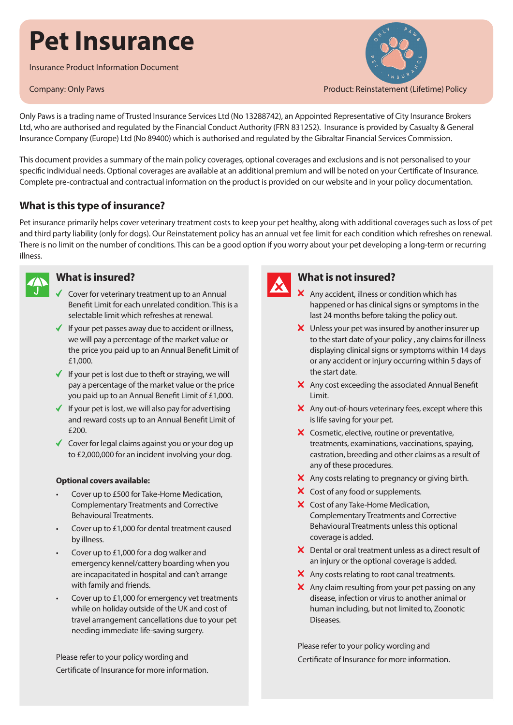# **Pet Insurance**

Insurance Product Information Document



Only Paws is a trading name of Trusted Insurance Services Ltd (No 13288742), an Appointed Representative of City Insurance Brokers Ltd, who are authorised and regulated by the Financial Conduct Authority (FRN 831252). Insurance is provided by Casualty & General Insurance Company (Europe) Ltd (No 89400) which is authorised and regulated by the Gibraltar Financial Services Commission.

This document provides a summary of the main policy coverages, optional coverages and exclusions and is not personalised to your specific individual needs. Optional coverages are available at an additional premium and will be noted on your Certificate of Insurance. Complete pre-contractual and contractual information on the product is provided on our website and in your policy documentation.

## **What is this type of insurance?**

Pet insurance primarily helps cover veterinary treatment costs to keep your pet healthy, along with additional coverages such as loss of pet and third party liability (only for dogs). Our Reinstatement policy has an annual vet fee limit for each condition which refreshes on renewal. There is no limit on the number of conditions. This can be a good option if you worry about your pet developing a long-term or recurring illness.



## **What is insured?**

- $\checkmark$  Cover for veterinary treatment up to an Annual Benefit Limit for each unrelated condition. This is a selectable limit which refreshes at renewal.
- $\blacklozenge$  If your pet passes away due to accident or illness, we will pay a percentage of the market value or the price you paid up to an Annual Benefit Limit of £1,000.
- $\checkmark$  If your pet is lost due to theft or straying, we will pay a percentage of the market value or the price you paid up to an Annual Benefit Limit of £1,000.
- $\blacklozenge$  If your pet is lost, we will also pay for advertising and reward costs up to an Annual Benefit Limit of £200.
- ◆ Cover for legal claims against you or your dog up to £2,000,000 for an incident involving your dog.

#### **Optional covers available:**

- Cover up to £500 for Take-Home Medication, Complementary Treatments and Corrective Behavioural Treatments.
- Cover up to £1,000 for dental treatment caused by illness.
- Cover up to £1,000 for a dog walker and emergency kennel/cattery boarding when you are incapacitated in hospital and can't arrange with family and friends.
- Cover up to £1,000 for emergency vet treatments while on holiday outside of the UK and cost of travel arrangement cancellations due to your pet needing immediate life-saving surgery.

Please refer to your policy wording and Certificate of Insurance for more information.



## **What is not insured?**

- X Any accident, illness or condition which has happened or has clinical signs or symptoms in the last 24 months before taking the policy out.
- X Unless your pet was insured by another insurer up to the start date of your policy , any claims for illness displaying clinical signs or symptoms within 14 days or any accident or injury occurring within 5 days of the start date.
- X Any cost exceeding the associated Annual Benefit Limit.
- $\boldsymbol{\times}$  Any out-of-hours veterinary fees, except where this is life saving for your pet.
- X Cosmetic, elective, routine or preventative, treatments, examinations, vaccinations, spaying, castration, breeding and other claims as a result of any of these procedures.
- $\boldsymbol{\times}$  Any costs relating to pregnancy or giving birth.
- X Cost of any food or supplements.
- X Cost of any Take-Home Medication, Complementary Treatments and Corrective Behavioural Treatments unless this optional coverage is added.
- X Dental or oral treatment unless as a direct result of an injury or the optional coverage is added.
- $\boldsymbol{\times}$  Any costs relating to root canal treatments.
- $\boldsymbol{\times}$  Any claim resulting from your pet passing on any disease, infection or virus to another animal or human including, but not limited to, Zoonotic Diseases.

Please refer to your policy wording and Certificate of Insurance for more information.